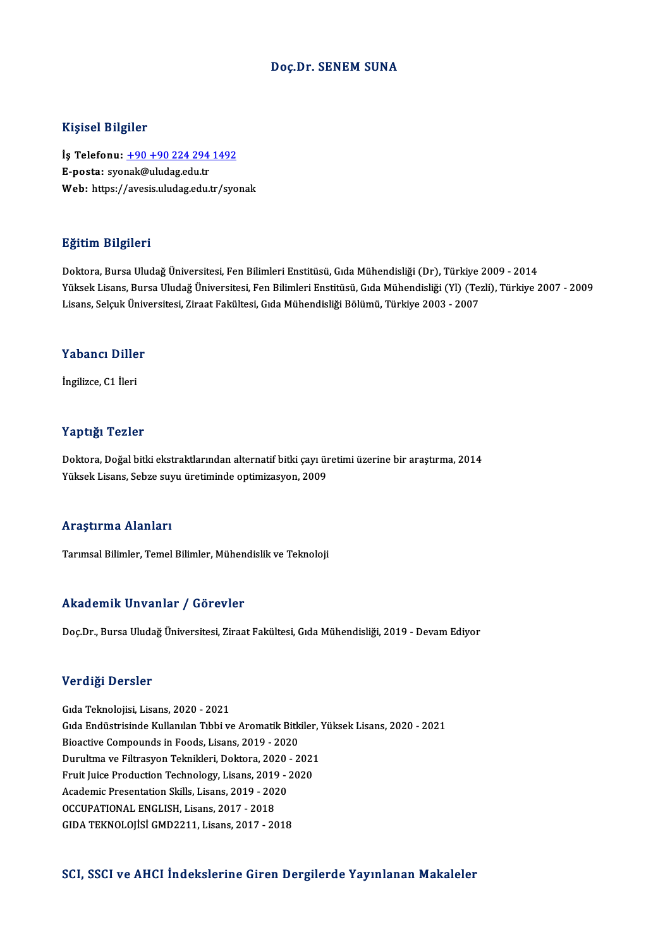#### Doç.Dr. SENEM SUNA

#### Kişisel Bilgiler

Kişisel Bilgiler<br>İş Telefonu: <u>+90 +90 224 294 1492</u><br>E nosta: svensk@uludas.edu.tr 11131001 D1151101<br>İş Telefonu: <u>+90 +90 224 294</u><br>E-posta: syo[nak@uludag.edu.tr](tel:+90 +90 224 294 1492) E-posta: syonak@uludag.edu.tr<br>Web: https://avesis.uludag.edu.tr/syonak

#### Eğitim Bilgileri

Doktora, Bursa Uludağ Üniversitesi, Fen Bilimleri Enstitüsü, Gıda Mühendisliği (Dr), Türkiye 2009 - 2014 YüksekLisans,BursaUludağÜniversitesi,FenBilimleriEnstitüsü,GıdaMühendisliği (Yl) (Tezli),Türkiye 2007 -2009 Doktora, Bursa Uludağ Üniversitesi, Fen Bilimleri Enstitüsü, Gıda Mühendisliği (Dr), Türkiye .<br>Yüksek Lisans, Bursa Uludağ Üniversitesi, Fen Bilimleri Enstitüsü, Gıda Mühendisliği (Yl) (Te:<br>Lisans, Selçuk Üniversitesi, Zir Lisans, Selçuk Üniversitesi, Ziraat Fakültesi, Gıda Mühendisliği Bölümü, Türkiye 2003 - 2007<br>Yabancı Diller

İngilizce,C1 İleri

#### Yaptığı Tezler

Yaptığı Tezler<br>Doktora, Doğal bitki ekstraktlarından alternatif bitki çayı üretimi üzerine bir araştırma, 2014<br>Yüksek Lisans, Sebre sum üretiminde entimizesyon, 2009 Yüpsegi Yözise<br>Doktora, Doğal bitki ekstraktlarından alternatif bitki çayı ür<br>Yüksek Lisans, Sebze suyu üretiminde optimizasyon, 2009 Yüksek Lisans, Sebze suyu üretiminde optimizasyon, 2009<br>Araştırma Alanları

Tarımsal Bilimler, Temel Bilimler, Mühendislik ve Teknoloji

#### Akademik Unvanlar / Görevler

Doç.Dr., Bursa Uludağ Üniversitesi, Ziraat Fakültesi, Gıda Mühendisliği, 2019 - Devam Ediyor

#### Verdiği Dersler

GıdaTeknolojisi,Lisans,2020 -2021 v or dryst Blorbich<br>Gıda Teknolojisi, Lisans, 2020 - 2021<br>Gıda Endüstrisinde Kullanılan Tıbbi ve Aromatik Bitkiler, Yüksek Lisans, 2020 - 2021<br>Bioastive Compounds in Eooda Lisans, 2019, ...2020 Gıda Teknolojisi, Lisans, 2020 - 2021<br>Gıda Endüstrisinde Kullanılan Tıbbi ve Aromatik Bitk<br>Bioactive Compounds in Foods, Lisans, 2019 - 2020<br>Dunultme ve Eiltreeven Teknikleri, Dektore, 2020, 2 Gıda Endüstrisinde Kullanılan Tıbbi ve Aromatik Bitkiler, '<br>Bioactive Compounds in Foods, Lisans, 2019 - 2020<br>Durultma ve Filtrasyon Teknikleri, Doktora, 2020 - 2021<br>Enuit Luise Bredustian Teshnelogu Lisans, 2019, 2020 Bioactive Compounds in Foods, Lisans, 2019 - 2020<br>Durultma ve Filtrasyon Teknikleri, Doktora, 2020 - 2021<br>Fruit Juice Production Technology, Lisans, 2019 - 2020<br>Agdemis Presentation Skills, Lisans, 2019 - 2020 Durultma ve Filtrasyon Teknikleri, Doktora, 2020<br>Fruit Juice Production Technology, Lisans, 2019 - <br>Academic Presentation Skills, Lisans, 2019 - 2020<br>OCCURATIONAL ENGLISH Lisans, 2017, 2018 Fruit Juice Production Technology, Lisans, 2019 - 2020<br>Academic Presentation Skills, Lisans, 2019 - 2020<br>OCCUPATIONAL ENGLISH, Lisans, 2017 - 2018 GIDATEKNOLOJİSİGMD2211,Lisans,2017 -2018

#### SCI, SSCI ve AHCI İndekslerine Giren Dergilerde Yayınlanan Makaleler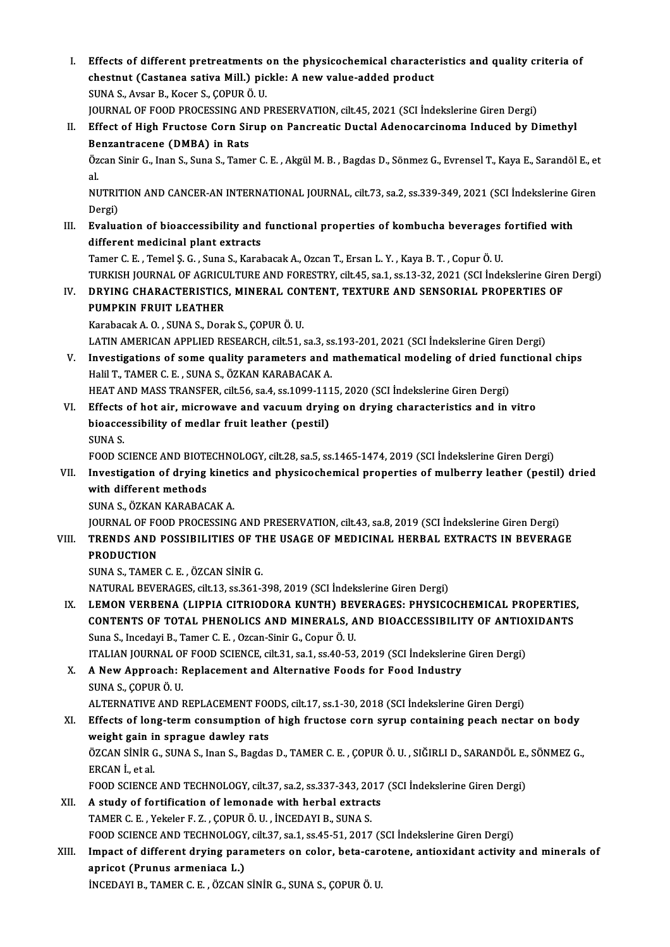I. Effects of different pretreatments on the physicochemical characteristics and quality criteria of Effects of different pretreatments on the physicochemical characte:<br>chestnut (Castanea sativa Mill.) pickle: A new value-added product Effects of different pretreatments<br>chestnut (Castanea sativa Mill.) pic<br>SUNA S., Avsar B., Kocer S., ÇOPUR Ö. U.<br>JOUPNAL OF FOOD PROCESSING AND R chestnut (Castanea sativa Mill.) pickle: A new value-added product<br>SUNA S., Avsar B., Kocer S., ÇOPUR Ö. U.<br>JOURNAL OF FOOD PROCESSING AND PRESERVATION, cilt.45, 2021 (SCI İndekslerine Giren Dergi)<br>Effect of High Enustase SUNA S., Avsar B., Kocer S., ÇOPUR Ö. U.<br>JOURNAL OF FOOD PROCESSING AND PRESERVATION, cilt.45, 2021 (SCI İndekslerine Giren Dergi)<br>II. Effect of High Fructose Corn Sirup on Pancreatic Ductal Adenocarcinoma Induced by Dimet JOURNAL OF FOOD PROCESSING AN<br>Effect of High Fructose Corn Sin<br>Benzantracene (DMBA) in Rats<br>Özen Sinir C, Inan S, Suna S, Tame Effect of High Fructose Corn Sirup on Pancreatic Ductal Adenocarcinoma Induced by Dimethyl<br>Benzantracene (DMBA) in Rats<br>Özcan Sinir G., Inan S., Suna S., Tamer C. E. , Akgül M. B. , Bagdas D., Sönmez G., Evrensel T., Kaya **Be**<br>Öz<br>al Özcan Sinir G., Inan S., Suna S., Tamer C. E. , Akgül M. B. , Bagdas D., Sönmez G., Evrensel T., Kaya E., Sarandöl E., et<br>al.<br>NUTRITION AND CANCER-AN INTERNATIONAL JOURNAL, cilt.73, sa.2, ss.339-349, 2021 (SCI İndekslerine al.<br>NUTRITION AND CANCER-AN INTERNATIONAL JOURNAL, cilt.73, sa.2, ss.339-349, 2021 (SCI İndekslerine Giren<br>Dergi) NUTRITION AND CANCER-AN INTERNATIONAL JOURNAL, cilt.73, sa.2, ss.339-349, 2021 (SCI Indekslerine G<br>Dergi)<br>III. Evaluation of bioaccessibility and functional properties of kombucha beverages fortified with<br>different modisin Dergi)<br><mark>Evaluation of bioaccessibility and</mark><br>different medicinal plant extracts<br>Tamer G.E., Tamel S.G., Suna S., Karal Evaluation of bioaccessibility and functional properties of kombucha beverages<br>different medicinal plant extracts<br>Tamer C. E. , Temel Ș. G. , Suna S., Karabacak A., Ozcan T., Ersan L. Y. , Kaya B. T. , Copur Ö. U.<br>TURKISH different medicinal plant extracts<br>Tamer C. E. , Temel Ş. G. , Suna S., Karabacak A., Ozcan T., Ersan L. Y. , Kaya B. T. , Copur Ö. U.<br>TURKISH JOURNAL OF AGRICULTURE AND FORESTRY, cilt.45, sa.1, ss.13-32, 2021 (SCI İndeksl Tamer C. E. , Temel Ş. G. , Suna S., Karabacak A., Ozcan T., Ersan L. Y. , Kaya B. T. , Copur Ö. U.<br>TURKISH JOURNAL OF AGRICULTURE AND FORESTRY, cilt.45, sa.1, ss.13-32, 2021 (SCI İndekslerine Girei<br>IV. DRYING CHARACTERIST TURKISH JOURNAL OF AGRICU<br>DRYING CHARACTERISTICS<br>PUMPKIN FRUIT LEATHER<br>Karabasak A O - SUNA S - Dars DRYING CHARACTERISTICS, MINERAL CON<br>PUMPKIN FRUIT LEATHER<br>Karabacak A. O. , SUNA S., Dorak S., ÇOPUR Ö. U.<br>LATIN AMERICAN APRI JED RESEARCH .sil 51 . PUMPKIN FRUIT LEATHER<br>Karabacak A. O. , SUNA S., Dorak S., ÇOPUR Ö. U.<br>LATIN AMERICAN APPLIED RESEARCH, cilt.51, sa.3, ss.193-201, 2021 (SCI İndekslerine Giren Dergi) Karabacak A. O., SUNA S., Dorak S., ÇOPUR Ö. U.<br>LATIN AMERICAN APPLIED RESEARCH, cilt.51, sa.3, ss.193-201, 2021 (SCI indekslerine Giren Dergi)<br>V. Investigations of some quality parameters and mathematical modeling of drie LATIN AMERICAN APPLIED RESEARCH, cilt.51, sa.3, ss<br>Investigations of some quality parameters and i<br>Halil T., TAMER C. E. , SUNA S., ÖZKAN KARABACAK A.<br>HEAT AND MASS TRANSEED, silt 56, ss 4, ss 1999, 111 Investigations of some quality parameters and mathematical modeling of dried full<br>Halil T., TAMER C. E. , SUNA S., ÖZKAN KARABACAK A.<br>HEAT AND MASS TRANSFER, cilt.56, sa.4, ss.1099-1115, 2020 (SCI İndekslerine Giren Dergi) Halil T., TAMER C. E. , SUNA S., ÖZKAN KARABACAK A.<br>HEAT AND MASS TRANSFER, cilt.56, sa.4, ss.1099-1115, 2020 (SCI Indekslerine Giren Dergi)<br>VI. Effects of hot air, microwave and vacuum drying on drying characteristics and HEAT AND MASS TRANSFER, cilt.56, sa.4, ss.1099-111<br>Effects of hot air, microwave and vacuum dryin<br>bioaccessibility of medlar fruit leather (pestil)<br>SUNA S Effects<br>bioacce<br>SUNA S.<br>EOOD SC bioaccessibility of medlar fruit leather (pestil)<br>SUNA S.<br>FOOD SCIENCE AND BIOTECHNOLOGY, cilt.28, sa.5, ss.1465-1474, 2019 (SCI İndekslerine Giren Dergi)<br>Investigation of duving kinetics and nhysicoshemical properties of SUNA S.<br>FOOD SCIENCE AND BIOTECHNOLOGY, cilt.28, sa.5, ss.1465-1474, 2019 (SCI İndekslerine Giren Dergi)<br>VII. Investigation of drying kinetics and physicochemical properties of mulberry leather (pestil) dried<br>with diff FOOD SCIENCE AND BIOTH<br>Investigation of drying<br>with different methods<br>SINA S. ÖZKAN KARARAC **Investigation of drying kinet<br>with different methods<br>SUNA S., ÖZKAN KARABACAK A.<br>JOUPNAL OF FOOD PROCESSING** With different methods<br>SUNA S., ÖZKAN KARABACAK A.<br>JOURNAL OF FOOD PROCESSING AND PRESERVATION, cilt.43, sa.8, 2019 (SCI İndekslerine Giren Dergi)<br>TRENDS AND POSSIBU ITIES OF THE USACE OF MEDICINAL HERRAL EXTRACTS IN REVER SUNA S., ÖZKAN KARABACAK A.<br>JOURNAL OF FOOD PROCESSING AND PRESERVATION, cilt.43, sa.8, 2019 (SCI İndekslerine Giren Dergi)<br>VIII. TRENDS AND POSSIBILITIES OF THE USAGE OF MEDICINAL HERBAL EXTRACTS IN BEVERAGE<br>PRODUCTIO **JOURNAL OF FO<br>TRENDS AND<br>PRODUCTION<br>SUNA S. TAMER** SUNAS.,TAMERC.E. ,ÖZCANSİNİRG. NATURAL BEVERAGES, cilt.13, ss.361-398, 2019 (SCI İndekslerine Giren Dergi) IX. LEMON VERBENA (LIPPIA CITRIODORA KUNTH) BEVERAGES: PHYSICOCHEMICAL PROPERTIES, NATURAL BEVERAGES, cilt.13, ss.361-398, 2019 (SCI İndekslerine Giren Dergi)<br>LEMON VERBENA (LIPPIA CITRIODORA KUNTH) BEVERAGES: PHYSICOCHEMICAL PROPERTIES<br>CONTENTS OF TOTAL PHENOLICS AND MINERALS, AND BIOACCESSIBILITY OF AN LEMON VERBENA (LIPPIA CITRIODORA KUNTH) BEV<br>CONTENTS OF TOTAL PHENOLICS AND MINERALS, A<br>Suna S., Incedayi B., Tamer C. E., Ozcan-Sinir G., Copur Ö. U.<br>ITALIAN JOURNAL OF FOOD SCIENCE sit 21 se 1 se 40 52 CONTENTS OF TOTAL PHENOLICS AND MINERALS, AND BIOACCESSIBILITY OF ANTIO.<br>Suna S., Incedayi B., Tamer C. E. , Ozcan-Sinir G., Copur Ö. U.<br>ITALIAN JOURNAL OF FOOD SCIENCE, cilt.31, sa.1, ss.40-53, 2019 (SCI İndekslerine Gire Suna S., Incedayi B., Tamer C. E. , Ozcan-Sinir G., Copur Ö. U.<br>ITALIAN JOURNAL OF FOOD SCIENCE, cilt.31, sa.1, ss.40-53, 2019 (SCI İndekslerine<br>X. A New Approach: Replacement and Alternative Foods for Food Industry<br>SINA S ITALIAN JOURNAL OI<br>A New Approach: I<br>SUNA S., ÇOPUR Ö. U.<br>ALTERNATIVE AND I SUNA S., ÇOPUR Ö. U.<br>ALTERNATIVE AND REPLACEMENT FOODS, cilt.17, ss.1-30, 2018 (SCI İndekslerine Giren Dergi) SUNA S., ÇOPUR Ö. U.<br>ALTERNATIVE AND REPLACEMENT FOODS, cilt.17, ss.1-30, 2018 (SCI İndekslerine Giren Dergi)<br>XI. Effects of long-term consumption of high fructose corn syrup containing peach nectar on body<br>weight sain in ALTERNATIVE AND REPLACEMENT FOOT<br>Effects of long-term consumption of<br>weight gain in sprague dawley rats<br>ÖZCAN S<sup>tNip</sup> C. SUNA S. Jpan S. Bagdas Effects of long-term consumption of high fructose corn syrup containing peach nectar on body<br>weight gain in sprague dawley rats<br>ÖZCAN SİNİR G., SUNA S., Inan S., Bagdas D., TAMER C. E. , ÇOPUR Ö. U. , SIĞIRLI D., SARANDÖL weight gain in sprague dawley rats<br>ÖZCAN SİNİR G., SUNA S., Inan S., Bagdas D., TAMER C. E. , ÇOPUR Ö. U. , SIĞIRLI D., SARANDÖL E.<br>ERCAN İ., et al.<br>FOOD SCIENCE AND TECHNOLOGY, cilt.37, sa.2, ss.337-343, 2017 (SCI İndeksl ÖZCAN SİNİR G., SUNA S., Inan S., Bagdas D., TAMER C. E., ÇOPUR Ö. U., SIĞIRLI D., SARANDÖL E., SÖNMEZ G., XII. A study of fortification of lemonade with herbal extracts TAMERC.E. ,Yekeler F.Z. ,ÇOPURÖ.U. , İNCEDAYIB.,SUNAS. A study of fortification of lemonade with herbal extracts<br>TAMER C. E. , Yekeler F. Z. , ÇOPUR Ö. U. , İNCEDAYI B., SUNA S.<br>FOOD SCIENCE AND TECHNOLOGY, cilt.37, sa.1, ss.45-51, 2017 (SCI İndekslerine Giren Dergi)<br>Impact of TAMER C. E. , Yekeler F. Z. , ÇOPUR Ö. U. , İNCEDAYI B., SUNA S.<br>FOOD SCIENCE AND TECHNOLOGY, cilt.37, sa.1, ss.45-51, 2017 (SCI İndekslerine Giren Dergi)<br>XIII. Impact of different drying parameters on color, beta-carotene FOOD SCIENCE AND TECHNOLOGY<br>Impact of different drying para<br>apricot (Prunus armeniaca L.)<br>INCEDAVI P. TAMER C.E., ÖZCAN Impact of different drying parameters on color, beta-care<br>apricot (Prunus armeniaca L.)<br>İNCEDAYI B., TAMER C. E. , ÖZCAN SİNİR G., SUNA S., ÇOPUR Ö. U.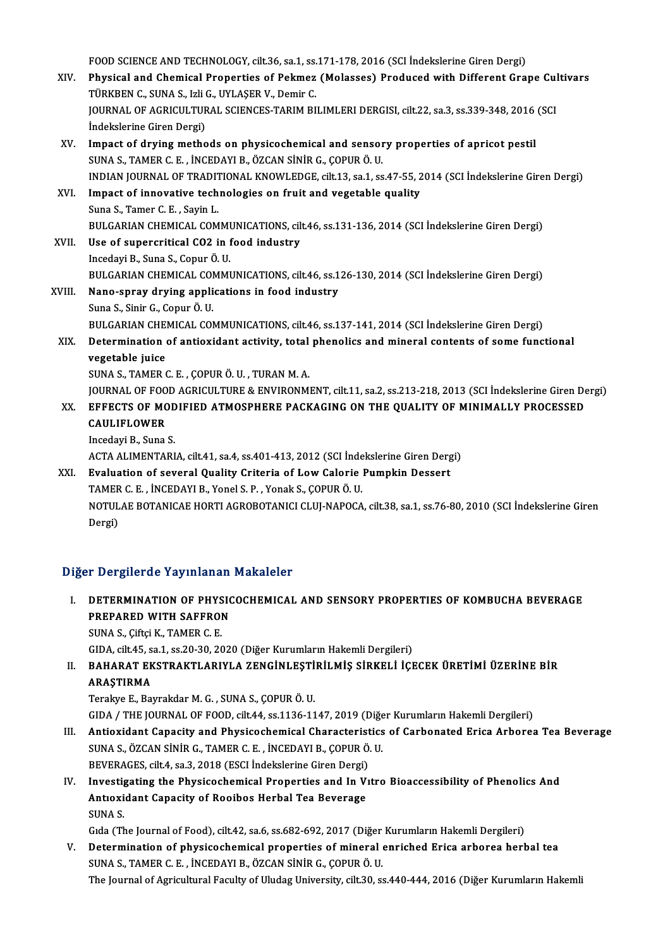FOOD SCIENCE AND TECHNOLOGY, cilt.36, sa.1, ss.171-178, 2016 (SCI İndekslerine Giren Dergi)<br>Physisal and Chamisal Properties of Pelmer (Malasses) Prodused with Different Cro

- FOOD SCIENCE AND TECHNOLOGY, cilt.36, sa.1, ss.171-178, 2016 (SCI İndekslerine Giren Dergi)<br>XIV. Physical and Chemical Properties of Pekmez (Molasses) Produced with Different Grape Cultivars<br>TÜRKPEN G. SUNA S. Joli G. JIVI FOOD SCIENCE AND TECHNOLOGY, cilt.36, sa.1, ss.<br>Physical and Chemical Properties of Pekmez<br>TÜRKBEN C., SUNA S., Izli G., UYLAŞER V., Demir C.<br>JOUPNAL OF ACRICULTURAL SCIENCES TARIM BL Physical and Chemical Properties of Pekmez (Molasses) Produced with Different Grape Cul<br>TÜRKBEN C., SUNA S., Izli G., UYLAŞER V., Demir C.<br>JOURNAL OF AGRICULTURAL SCIENCES-TARIM BILIMLERI DERGISI, cilt.22, sa.3, ss.339-348 TÜRKBEN C., SUNA S., Izli G., UYLAŞER V., Demir C.<br>JOURNAL OF AGRICULTURAL SCIENCES-TARIM BILIMLERI DERGISI, cilt.22, sa.3, ss.339-348, 2016 (SCI<br>İndekslerine Giren Dergi)
- XV. Impact of dryingmethods on physicochemical and sensory properties of apricot pestil SUNAS.,TAMERC.E. , İNCEDAYIB.,ÖZCANSİNİRG.,ÇOPURÖ.U. INDIANJOURNALOF TRADITIONALKNOWLEDGE, cilt.13, sa.1, ss.47-55,2014 (SCI İndekslerineGirenDergi) SUNA S., TAMER C. E., INCEDAYI B., ÖZCAN SINIR G., ÇOPUR Ö. U.<br>INDIAN JOURNAL OF TRADITIONAL KNOWLEDGE, cilt.13, sa.1, ss.47-55, 2<br>XVI. Impact of innovative technologies on fruit and vegetable quality<br>Suna S. Tamar C. E. S
- INDIAN JOURNAL OF TRADIT<br>Impact of innovative tech<br>Suna S., Tamer C. E. , Sayin L.<br>PULCARIAN CHEMICAL COM Impact of innovative technologies on fruit and vegetable quality<br>Suna S., Tamer C. E. , Sayin L.<br>BULGARIAN CHEMICAL COMMUNICATIONS, cilt.46, ss.131-136, 2014 (SCI İndekslerine Giren Dergi)<br>Hee of sunoneritical CO2 in food
- Suna S., Tamer C. E. , Sayin L.<br>BULGARIAN CHEMICAL COMMUNICATIONS, cil<br>XVII. Use of supercritical CO2 in food industry<br>Incedayi B., Suna S., Copur Ö. U. BULGARIAN CHEMICAL COMMI<br>Use of supercritical CO2 in f<br>Incedayi B., Suna S., Copur Ö. U.<br>BULGARIAN CHEMICAL COMMI Use of supercritical CO2 in food industry<br>Incedayi B., Suna S., Copur Ö. U.<br>BULGARIAN CHEMICAL COMMUNICATIONS, cilt.46, ss.126-130, 2014 (SCI İndekslerine Giren Dergi)<br>Nane annay duving annligations in food industuv
- XVIII. Nano-spray drying applications in food industry<br>Suna S., Sinir G., Copur Ö. U. BULGARIAN CHEMICAL COI<br>Nano-spray drying appli<br>Suna S., Sinir G., Copur Ö. U.<br>PULCARIAN CHEMICAL COI BULGARIAN CHEMICAL COMMUNICATIONS, cilt.46, ss.137-141, 2014 (SCI İndekslerine Giren Dergi) Suna S., Sinir G., Copur Ö. U.<br>BULGARIAN CHEMICAL COMMUNICATIONS, cilt.46, ss.137-141, 2014 (SCI İndekslerine Giren Dergi)<br>XIX. Determination of antioxidant activity, total phenolics and mineral contents of some functi
	- **BULGARIAN CHE**<br>Determination<br>vegetable juice<br>SUNA S. TAMER ( Determination of antioxidant activity, total<br>vegetable juice<br>SUNA S., TAMER C. E. , ÇOPUR Ö. U. , TURAN M. A.<br>JOUPMAL OF FOOD ACPICULTURE & ENVIRONM vegetable juice<br>SUNA S., TAMER C. E. , ÇOPUR Ö. U. , TURAN M. A.<br>JOURNAL OF FOOD AGRICULTURE & ENVIRONMENT, cilt.11, sa.2, ss.213-218, 2013 (SCI İndekslerine Giren Dergi)<br>ERRECTS OF MODIEJED ATMOSPHERE BACKACINC ON THE QUA
		-

- SUNA S., TAMER C. E. , ÇOPUR Ö. U. , TURAN M. A.<br>JOURNAL OF FOOD AGRICULTURE & ENVIRONMENT, cilt.11, sa.2, ss.213-218, 2013 (SCI İndekslerine Giren De<br>XX. EFFECTS OF MODIFIED ATMOSPHERE PACKAGING ON THE QUALITY OF MINI JOURNAL OF FOO<br>EFFECTS OF MC<br>CAULIFLOWER<br>Incedavi P. Suna XX. EFFECTS OF MODIFIED ATMOSPHERE PACKAGING ON THE QUALITY OF MINIMALLY PROCESSED<br>CAULIFLOWER<br>Incedayi B., Suna S.
	-

ACTA ALIMENTARIA, cilt.41, sa.4, ss.401-413, 2012 (SCI İndekslerine Giren Dergi)

Incedayi B., Suna S.<br>ACTA ALIMENTARIA, cilt.41, sa.4, ss.401-413, 2012 (SCI İndekslerine Giren Derg<br>XXI. Braluation of several Quality Criteria of Low Calorie Pumpkin Dessert<br>TAMER C.E. İNCERAYI B. Yanal S. B. Yanalı S. CO ACTA ALIMENTARIA, cilt.41, sa.4, ss.401-413, 2012 (SCI İnde<br>**Evaluation of several Quality Criteria of Low Calorie**<br>TAMER C. E. , İNCEDAYI B., Yonel S. P. , Yonak S., ÇOPUR Ö. U.<br>NOTULAE BOTANICAE HOPTI ACROBOTANICI CLUI N NOTULAE BOTANICAE HORTI AGROBOTANICI CLUJ-NAPOCA, cilt.38, sa.1, ss.76-80, 2010 (SCI İndekslerine Giren<br>Dergi) TAMER C. E., İNCEDAYI B., Yonel S. P., Yonak S., COPUR Ö. U.

### Diğer Dergilerde Yayınlanan Makaleler

- Iğer Dergilerde Yayınlanan Makaleler<br>I. DETERMINATION OF PHYSICOCHEMICAL AND SENSORY PROPERTIES OF KOMBUCHA BEVERAGE<br>REERARED WITH SAEERON PREPARED WITH SAFFRON<br>PREPARED WITH SAFFRON<br>SUNA S. Giftsi K. TAMER G. E PREPARED WITH SAFFRON<br>SUNA S., Çiftçi K., TAMER C. E.
	-

GIDA, cilt.45, sa.1, ss.20-30, 2020 (Diğer Kurumların Hakemli Dergileri)

SUNA S., Çiftçi K., TAMER C. E.<br>GIDA, cilt.45, sa.1, ss.20-30, 2020 (Diğer Kurumların Hakemli Dergileri)<br>II. BAHARAT EKSTRAKTLARIYLA ZENGİNLEŞTİRİLMİŞ SİRKELİ İÇECEK ÜRETİMİ ÜZERİNE BİR<br>APASTIPMA GIDA, cilt.45, s<br>BAHARAT EK<br>ARAŞTIRMA<br>Terelaye E. Per ARAŞTIRMA<br>Terakye E., Bayrakdar M. G. , SUNA S., ÇOPUR Ö. U. ARAŞTIRMA<br>Terakye E., Bayrakdar M. G. , SUNA S., ÇOPUR Ö. U.<br>GIDA / THE JOURNAL OF FOOD, cilt.44, ss.1136-1147, 2019 (Diğer Kurumların Hakemli Dergileri)<br>Antiovident Canasity and Physisoshomical Chanasteristics of Canhanat

- Terakye E., Bayrakdar M. G. , SUNA S., ÇOPUR Ö. U.<br>GIDA / THE JOURNAL OF FOOD, cilt.44, ss.1136-1147, 2019 (Diğer Kurumların Hakemli Dergileri)<br>III. Antioxidant Capacity and Physicochemical Characteristics of Carbonated Er GIDA / THE JOURNAL OF FOOD, cilt.44, ss.1136-1147, 2019 (Diğe<br>Antioxidant Capacity and Physicochemical Characteristics<br>SUNA S., ÖZCAN SİNİR G., TAMER C. E. , İNCEDAYI B., ÇOPUR Ö. U.<br>PEVERACES. silt.4, ss.2, 2019 (ESCI İnd Antioxidant Capacity and Physicochemical Characterist<br>SUNA S., ÖZCAN SİNİR G., TAMER C. E. , İNCEDAYI B., ÇOPUR Ö.<br>BEVERAGES, cilt.4, sa.3, 2018 (ESCI İndekslerine Giren Dergi)<br>Investigating the Physicochemical Properties SUNA S., ÖZCAN SİNİR G., TAMER C. E. , İNCEDAYI B., ÇOPUR Ö. U.<br>BEVERAGES, cilt.4, sa.3, 2018 (ESCI İndekslerine Giren Dergi)<br>IV. Investigating the Physicochemical Properties and In Vıtro Bioaccessibility of Phenolics And<br>
- BEVERAGES, cilt.4, sa.3, 2018 (ESCI İndekslerine Giren Dergi)<br>Investigating the Physicochemical Properties and In Vi<br>Antıoxidant Capacity of Rooibos Herbal Tea Beverage<br>SUNA S Investig<br>Antioxi<br>SUNA S.<br>Gida (Th Antioxidant Capacity of Rooibos Herbal Tea Beverage<br>SUNA S.<br>Gida (The Journal of Food), cilt.42, sa.6, ss.682-692, 2017 (Diğer Kurumların Hakemli Dergileri)<br>Determination of physisoshomisel properties of mineral enrished E

SUNA S.<br>Gıda (The Journal of Food), cilt.42, sa.6, ss.682-692, 2017 (Diğer Kurumların Hakemli Dergileri)<br>V. Determination of physicochemical properties of mineral enriched Erica arborea herbal tea<br>SUNA S., TAMER C. E. Gıda (The Journal of Food), cilt.42, sa.6, ss.682-692, 2017 (Diğer<br>Determination of physicochemical properties of mineral<br>SUNA S., TAMER C. E. , İNCEDAYI B., ÖZCAN SİNİR G., ÇOPUR Ö. U.<br>The Journal of Agricultural Focultu

The Journal of Agricultural Faculty of Uludag University, cilt.30, ss.440-444, 2016 (Diğer Kurumların Hakemli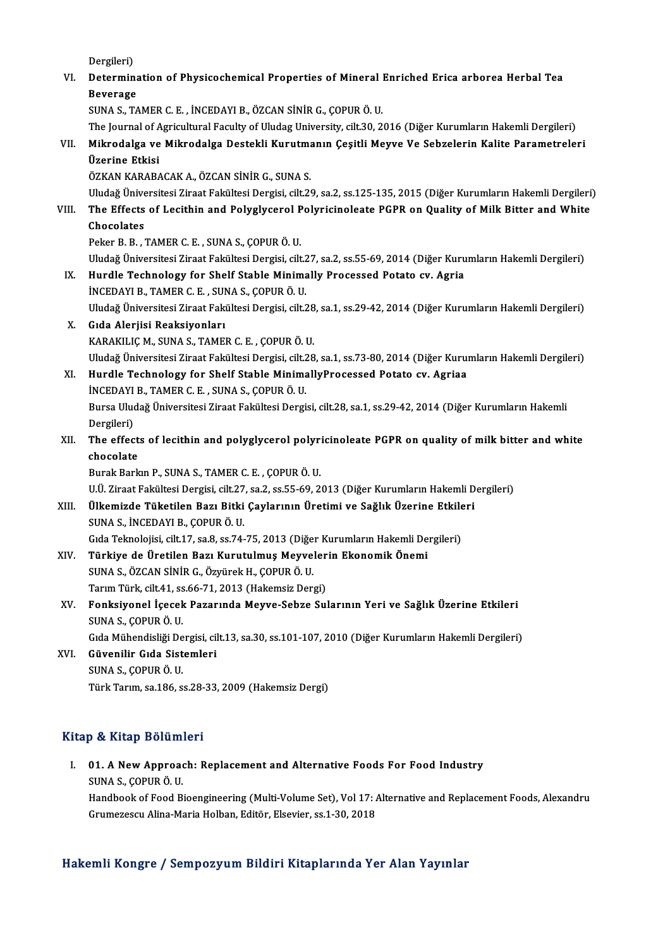Dergileri)

Dergileri)<br>VI. Determination of Physicochemical Properties of Mineral Enriched Erica arborea Herbal Tea<br>Reverses Dergileri)<br><mark>Determina</mark><br>Beverage<br>SUNA S. T4 Beverage<br>SUNA S., TAMER C. E. , İNCEDAYI B., ÖZCAN SİNİR G., ÇOPUR Ö. U. Beverage<br>SUNA S., TAMER C. E. , İNCEDAYI B., ÖZCAN SİNİR G., ÇOPUR Ö. U.<br>The Journal of Agricultural Faculty of Uludag University, cilt.30, 2016 (Diğer Kurumların Hakemli Dergileri)<br>Mikrodalga ve Mikrodalga Destakli Kurutm

## SUNA S., TAMER C. E. , İNCEDAYI B., ÖZCAN SİNİR G., ÇOPUR Ö. U.<br>The Journal of Agricultural Faculty of Uludag University, cilt.30, 2016 (Diğer Kurumların Hakemli Dergileri)<br>VII. Mikrodalga ve Mikrodalga Destekli Kurutm The Journal of A<br>Mikrodalga ve<br>Üzerine Etkisi<br>ÖZKAN KARARA Mikrodalga ve Mikrodalga Destekli Kurutma<br>Üzerine Etkisi<br>ÖZKAN KARABACAK A., ÖZCAN SİNİR G., SUNA S.<br>Uludağ Üniversitesi Zireat Fakültesi Dergisi, silt 26 Üzerine Etkisi<br>ÖZKAN KARABACAK A., ÖZCAN SİNİR G., SUNA S.<br>Uludağ Üniversitesi Ziraat Fakültesi Dergisi, cilt.29, sa.2, ss.125-135, 2015 (Diğer Kurumların Hakemli Dergileri)<br>The Effects of Lesithin and Bolyglycaral Bolygis

ÖZKAN KARABACAK A., ÖZCAN SİNİR G., SUNA S.<br>Uludağ Üniversitesi Ziraat Fakültesi Dergisi, cilt.29, sa.2, ss.125-135, 2015 (Diğer Kurumların Hakemli Dergileri<br>VIII. The Effects of Lecithin and Polyglycerol Polyricinolea Uludağ Ünive<br>The Effects<br>Chocolates<br>Peker B. B. The Effects of Lecithin and Polyglycerol P<br>Chocolates<br>Peker B. B. , TAMER C. E. , SUNA S., ÇOPUR Ö. U.<br>Uludağ Üniversitesi Zireet Fekültesi Dergisi, silt Chocolates<br>Peker B. B. , TAMER C. E. , SUNA S., ÇOPUR Ö. U.<br>Uludağ Üniversitesi Ziraat Fakültesi Dergisi, cilt.27, sa.2, ss.55-69, 2014 (Diğer Kurumların Hakemli Dergileri)

Peker B. B. , TAMER C. E. , SUNA S., ÇOPUR Ö. U.<br>Uludağ Üniversitesi Ziraat Fakültesi Dergisi, cilt.27, sa.2, ss.55-69, 2014 (Diğer Kuru<br>IX. Hurdle Technology for Shelf Stable Minimally Processed Potato cv. Agria<br>INCEDAVI

- Uludağ Üniversitesi Ziraat Fakültesi Dergisi, cilt.<br>Hurdle Technology for Shelf Stable Minima<br>İNCEDAYI B., TAMER C. E. , SUNA S., ÇOPUR Ö. U.<br>Uludağ Üniversitesi Ziraat Fakültesi Dergisi, silt. Hurdle Technology for Shelf Stable Minimally Processed Potato cv. Agria<br>İNCEDAYI B., TAMER C. E. , SUNA S., ÇOPUR Ö. U.<br>Uludağ Üniversitesi Ziraat Fakültesi Dergisi, cilt.28, sa.1, ss.29-42, 2014 (Diğer Kurumların Hakemli İNCEDAYI B., TAMER C. E. , SUNA S., ÇOPUR Ö. U.<br>Uludağ Üniversitesi Ziraat Fakültesi Dergisi, cilt.28<br>X. Gıda Alerjisi Reaksiyonları<br>KARAKILIC M., SUNA S., TAMER C. E. , COPUR Ö. U.
- Uludağ Üniversitesi Ziraat Fakültesi Dergisi, cilt.28<br>Gıda Alerjisi Reaksiyonları<br>KARAKILIÇ M., SUNA S., TAMER C. E. , ÇOPUR Ö. U.<br>Uludağ Üniversitesi Zirast Fakültesi Dergisi, silt 29 Gıda Alerjisi Reaksiyonları<br>KARAKILIÇ M., SUNA S., TAMER C. E. , ÇOPUR Ö. U.<br>Uludağ Üniversitesi Ziraat Fakültesi Dergisi, cilt.28, sa.1, ss.73-80, 2014 (Diğer Kurumların Hakemli Dergileri)<br>Hundle Teshnelesu fan Shelf Stab
- XI. Hurdle Technology for Shelf Stable MinimallyProcessed Potato cv. Agriaa Uludağ Üniversitesi Ziraat Fakültesi Dergisi, cilt.<br>Hurdle Technology for Shelf Stable Minima<br>İNCEDAYI B., TAMER C. E. , SUNA S., ÇOPUR Ö. U.<br>Bursa Uludağ Üniversitesi Ziraat Fakültesi Dergi Bursa Uludağ Üniversitesi Ziraat Fakültesi Dergisi, cilt.28, sa.1, ss.29-42, 2014 (Diğer Kurumların Hakemli Dergileri) INCEDAYI B., TAMER C. E., SUNA S., COPUR Ö. U. Bursa Uludağ Üniversitesi Ziraat Fakültesi Dergisi, cilt.28, sa.1, ss.29-42, 2014 (Diğer Kurumların Hakemli<br>Dergileri)<br>XII. The effects of lecithin and polyglycerol polyricinoleate PGPR on quality of milk bitter and white<br>

# Dergileri)<br>The effect<br>chocolate<br><sup>Purak Park</sup> The effects of lecithin and polyglycerol polyrich<br>chocolate<br>Burak Barkın P., SUNA S., TAMER C. E. , ÇOPUR Ö. U.<br>U.Ü. Zirast Fakültesi Dergisi, silt 27, ss 2, ss 55, 69, 2

chocolate<br>Burak Barkın P., SUNA S., TAMER C. E. , ÇOPUR Ö. U.<br>U.Ü. Ziraat Fakültesi Dergisi, cilt.27, sa.2, ss.55-69, 2013 (Diğer Kurumların Hakemli Dergileri) Burak Barkın P., SUNA S., TAMER C. E. , ÇOPUR Ö. U.<br>U.Ü. Ziraat Fakültesi Dergisi, cilt.27, sa.2, ss.55-69, 2013 (Diğer Kurumların Hakemli D<br>XIII. Ülkemizde Tüketilen Bazı Bitki Çaylarının Üretimi ve Sağlık Üzerine Etk

- SUNAS., İNCEDAYIB.,ÇOPURÖ.U. Ülkemizde Tüketilen Bazı Bitki Çaylarının Üretimi ve Sağlık Üzerine Etkile<br>SUNA S., İNCEDAYI B., ÇOPUR Ö. U.<br>Gıda Teknolojisi, cilt.17, sa.8, ss.74-75, 2013 (Diğer Kurumların Hakemli Dergileri)<br>Türkiye de Üretiler Bazı Kur Gıda Teknolojisi, cilt.17, sa.8, ss.74-75, 2013 (Diğer Kurumların Hakemli Dergileri)<br>XIV. Türkiye de Üretilen Bazı Kurutulmuş Meyvelerin Ekonomik Önemi
- Gıda Teknolojisi, cilt.17, sa.8, ss.74-75, 2013 (Diğe<br>**Türkiye de Üretilen Bazı Kurutulmuş Meyve**l<br>SUNA S., ÖZCAN SİNİR G., Özyürek H., ÇOPUR Ö. U.<br>Terun Türk, silt 41, se 66,71, 2012 (Hekemeir Deru Türkiye de Üretilen Bazı Kurutulmuş Meyveler<br>SUNA S., ÖZCAN SİNİR G., Özyürek H., ÇOPUR Ö. U.<br>Tarım Türk, cilt.41, ss.66-71, 2013 (Hakemsiz Dergi)<br>Fankaiyanel İsasak Bazanında Mayya Sahza S.J.

## SUNA S., ÖZCAN SİNİR G., Özyürek H., ÇOPUR Ö. U.<br>Tarım Türk, cilt.41, ss.66-71, 2013 (Hakemsiz Dergi)<br>XV. Fonksiyonel İçecek Pazarında Meyve-Sebze Sularının Yeri ve Sağlık Üzerine Etkileri<br>SUNA S. COPUR Ö. U Tarım Türk, cilt.41, ss.66-71, 2013 (Hakemsiz Dergi)<br>Fonksiyonel İçecek Pazarında Meyve-Sebze Sularının Yeri ve Sağlık Üzerine Etkileri<br>SUNA S., ÇOPUR Ö. U.<br>Gıda Mühendisliği Dergisi, cilt.13, sa.30, ss.101-107, 2010 (Diğe Fonksiyonel İçecek Pazarında Meyve-Sebze Sularının Yeri ve Sağlık Üzerine Etkileri<br>SUNA S., ÇOPUR Ö. U.<br>Gıda Mühendisliği Dergisi, cilt.13, sa.30, ss.101-107, 2010 (Diğer Kurumların Hakemli Dergileri)<br>Güyenilir Gıde Sistem

XVI. Güvenilir Gıda Sistemleri SUNAS.,ÇOPURÖ.U. Türk Tarım, sa.186, ss.28-33, 2009 (Hakemsiz Dergi)

## Kitap & Kitap Bölümleri

Itap & Kitap Bölümleri<br>I. 01. A New Approach: Replacement and Alternative Foods For Food Industry<br>SINA S. COPUP Ö U Sunday Bordin.<br> **SUNAS., COPUR Ö. U.**<br>
Handbook of Food B. 01. A New Approach: Replacement and Alternative Foods For Food Industry<br>SUNA S., ÇOPUR Ö. U.<br>Handbook of Food Bioengineering (Multi-Volume Set), Vol 17: Alternative and Replacement Foods, Alexandru<br>Crumeseecu Aline Merie H

SUNA S., ÇOPUR Ö. U.<br>Handbook of Food Bioengineering (Multi-Volume Set), Vol 17: *I*<br>Grumezescu Alina-Maria Holban, Editör, Elsevier, ss.1-30, 2018

# Grumezescu Alina-Maria Holban, Editör, Elsevier, ss.1-30, 2018<br>Hakemli Kongre / Sempozyum Bildiri Kitaplarında Yer Alan Yayınlar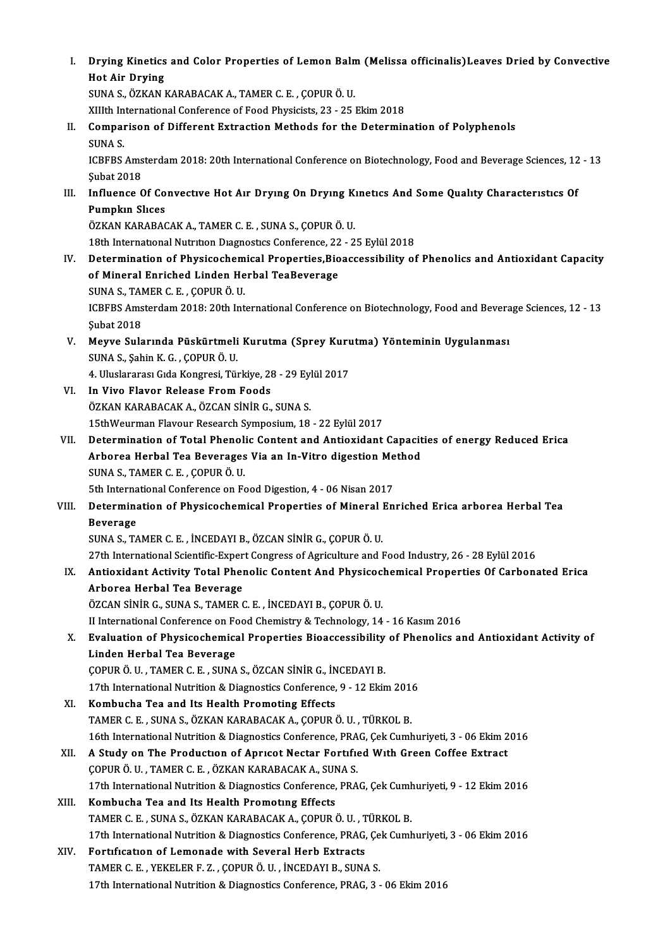I. Drying Kinetics and Color Properties of Lemon Balm(Melissa officinalis)Leaves Dried by Convective **Drying Kinetics<br>Hot Air Drying<br>SUNA S. ÖZVAN I** Drying Kinetics and Color Properties of Lemon Baln<br>Hot Air Drying<br>SUNA S., ÖZKAN KARABACAK A., TAMER C. E. , ÇOPUR Ö. U.<br>YUth International Conference of Eood Physicista 22, 25. Hot Air Drying<br>SUNA S., ÖZKAN KARABACAK A., TAMER C. E. , ÇOPUR Ö. U.<br>XIIIth International Conference of Food Physicists, 23 - 25 Ekim 2018<br>Comparison of Different Eutrastion Methode for the Determin SUNA S., ÖZKAN KARABACAK A., TAMER C. E. , ÇOPUR Ö. U.<br>XIIIth International Conference of Food Physicists, 23 - 25 Ekim 2018<br>II. Comparison of Different Extraction Methods for the Determination of Polyphenols<br>SUNA S. XIIIth In<br>Compai<br>SUNA S.<br>ICPEPS Comparison of Different Extraction Methods for the Determination of Polyphenols<br>SUNA S.<br>ICBFBS Amsterdam 2018: 20th International Conference on Biotechnology, Food and Beverage Sciences, 12 - 13<br>Subat 2019 SUNA S.<br>ICBFBS Ams<br>Şubat 2018<br>Influence C ICBFBS Amsterdam 2018: 20th International Conference on Biotechnology, Food and Beverage Sciences, 12<br>
Subat 2018<br>
III. Influence Of Convective Hot Air Drying On Drying Kinetics And Some Quality Characteristics Of<br>
Bumphy Subat 2018<br>Influence Of Co<br>Pumpkın Slıces<br>ÖZKAN KARARAC Influence Of Convective Hot Air Drying On Drying K<br>Pumpkin Slices<br>ÖZKAN KARABACAK A., TAMER C. E. , SUNA S., ÇOPUR Ö. U.<br>19th International Nutrition Diagnestics Conference 22, 2 Pumpkın Slices<br>ÖZKAN KARABACAK A., TAMER C. E. , SUNA S., ÇOPUR Ö. U.<br>18th International Nutrition Diagnostics Conference, 22 - 25 Eylül 2018 IV. Determination of Physicochemical Properties,Bioaccessibility of Phenolics and Antioxidant Capacity 18th International Nutrition Diagnostics Conference, 22<br>Determination of Physicochemical Properties,Bio<br>of Mineral Enriched Linden Herbal TeaBeverage<br>SUNA S. TAMER C.E., COBUR Ö.U. Determination of Physicochem<br>of Mineral Enriched Linden He<br>SUNA S., TAMER C. E. , ÇOPUR Ö. U.<br>ICBEBS Amstandam 2019, 20th Int ICBFBS Amsterdam 2018: 20th International Conference on Biotechnology, Food and Beverage Sciences, 12 - 13<br>Subat 2018 SUNA S., TAMER C. E., COPUR Ö. U. ICBFBS Amsterdam 2018: 20th International Conference on Biotechnology, Food and Bevera<br>Şubat 2018<br>V. Meyve Sularında Püskürtmeli Kurutma (Sprey Kurutma) Yönteminin Uygulanması<br>SUNA S. Sobin K.G. COBUP Ö.U Şubat 2018<br><mark>Meyve Sularında Püskürtmeli</mark><br>SUNA S., Şahin K. G. , ÇOPUR Ö. U.<br>4. Uluslararesi Gida Konsresi Tür Meyve Sularında Püskürtmeli Kurutma (Sprey Kuru<br>SUNA S., Şahin K. G. , ÇOPUR Ö. U.<br>4. Uluslararası Gıda Kongresi, Türkiye, 28 - 29 Eylül 2017<br>In Vive Elever Belesse Erem Esede SUNA S., Şahin K. G. , ÇOPUR Ö. U.<br>4. Uluslararası Gıda Kongresi, Türkiye, 28 - 29 Ey.<br>VI. In Vivo Flavor Release From Foods<br>ÖZKAN KARABACAK A., ÖZCAN SİNİR G., SUNA S. 4. Uluslararası Gıda Kongresi, Türkiye, 28 - 29 Eylül 2017 15thWeurman Flavour Research Symposium, 18 - 22 Eylül 2017 ÖZKAN KARABACAK A., ÖZCAN SİNİR G., SUNA S.<br>15thWeurman Flavour Research Symposium, 18 - 22 Eylül 2017<br>VII. Determination of Total Phenolic Content and Antioxidant Capacities of energy Reduced Erica<br>Arbores Herbal Tes 15thWeurman Flavour Research Symposium, 18 - 22 Eylül 2017<br>Determination of Total Phenolic Content and Antioxidant Capacit<br>Arborea Herbal Tea Beverages Via an In-Vitro digestion Method<br>SUNA S. TAMER C. E. COPUR Ö. U Determination of Total Phenoli<br>Arborea Herbal Tea Beverages<br>SUNA S., TAMER C. E. , ÇOPUR Ö. U.<br>Eth International Conference on Es Arborea Herbal Tea Beverages Via an In-Vitro digestion Method<br>SUNA S., TAMER C. E., ÇOPUR Ö. U. VIII. Determination of Physicochemical Properties of Mineral Enriched Erica arborea Herbal Tea<br>Beverage 5th International Conference on Food Digestion, 4 - 06 Nisan 2017 SUNAS.,TAMERC.E. , İNCEDAYIB.,ÖZCANSİNİRG.,ÇOPURÖ.U. 27th International Scientific-Expert Congress of Agriculture and Food Industry, 26 - 28 Eylül 2016 SUNA S., TAMER C. E. , İNCEDAYI B., ÖZCAN SİNİR G., ÇOPUR Ö. U.<br>27th International Scientific-Expert Congress of Agriculture and Food Industry, 26 - 28 Eylül 2016<br>IX. Antioxidant Activity Total Phenolic Content And Physico 27th International Scientific-Exper<br>Antioxidant Activity Total Pher<br>Arborea Herbal Tea Beverage<br>ÖZCAN SİNİB C. SINA S. TAMER G Antioxidant Activity Total Phenolic Content And Physicoc.<br>Arborea Herbal Tea Beverage<br>ÖZCAN SİNİR G., SUNA S., TAMER C. E. , İNCEDAYI B., ÇOPUR Ö. U.<br>U International Conference en Food Chemistry & Technology, 14 Arborea Herbal Tea Beverage<br>ÖZCAN SINIR G., SUNA S., TAMER C. E. , INCEDAYI B., ÇOPUR Ö. U.<br>II International Conference on Food Chemistry & Technology, 14 - 16 Kasım 2016<br>Evaluation of Physicoshomisel Proporties Bioaccessi ÖZCAN SINIR G., SUNA S., TAMER C. E. , INCEDAYI B., ÇOPUR Ö. U.<br>II International Conference on Food Chemistry & Technology, 14 - 16 Kasım 2016<br>X. Evaluation of Physicochemical Properties Bioaccessibility of Phenolics and A II International Conference on F<br>Evaluation of Physicochemica<br>Linden Herbal Tea Beverage<br>COPUP Ö UL TAMER C EL SUNA Evaluation of Physicochemical Properties Bioaccessibility<br>Linden Herbal Tea Beverage<br>ÇOPUR Ö. U., TAMER C. E., SUNA S., ÖZCAN SİNİR G., İNCEDAYI B.<br>17th International Nutrition & Diagnestics Conference 9, 12 Ekir Linden Herbal Tea Beverage<br>ÇOPUR Ö. U. , TAMER C. E. , SUNA S., ÖZCAN SİNİR G., İNCEDAYI B.<br>17th International Nutrition & Diagnostics Conference, 9 - 12 Ekim 2016<br>Kombucha Tea and Its Hoalth Promoting Effects COPUR Ö. U., TAMER C. E., SUNA S., ÖZCAN SINIR G., IN<br>17th International Nutrition & Diagnostics Conference,<br>XI. Kombucha Tea and Its Health Promoting Effects<br>TAMER C. E. SUNA S. ÖZKAN KARARACAK A. COPUR 17th International Nutrition & Diagnostics Conference, 9 - 12 Ekim 2016<br>XI. Kombucha Tea and Its Health Promoting Effects<br>TAMER C. E., SUNA S., ÖZKAN KARABACAK A., ÇOPUR Ö. U., TÜRKOL B. Kombucha Tea and Its Health Promoting Effects<br>TAMER C. E. , SUNA S., ÖZKAN KARABACAK A., ÇOPUR Ö. U. , TÜRKOL B.<br>16th International Nutrition & Diagnostics Conference, PRAG, Çek Cumhuriyeti, 3 - 06 Ekim 2016<br>A. Study on Th XII. A Study on The Production of Apricot Nectar Fortified With Green Coffee Extract COPUR Ö. U., TAMER C. E., ÖZKAN KARABACAK A., SUNA S. 16th International Nutrition & Diagnostics Conference, PRA<br>A Study on The Production of Apricot Nectar Fortific<br>COPUR Ö. U., TAMER C. E., ÖZKAN KARABACAK A., SUNA S. 17th International Nutrition & Diagnostics Conference, PRAG, Çek Cumhuriyeti, 9 - 12 Ekim 2016 XIII. Kombucha Tea and Its Health Promoting Effects TAMERC.E. ,SUNAS.,ÖZKANKARABACAKA.,ÇOPURÖ.U. ,TÜRKOLB. Kombucha Tea and Its Health Promoting Effects<br>TAMER C. E. , SUNA S., ÖZKAN KARABACAK A., ÇOPUR Ö. U. , TÜRKOL B.<br>17th International Nutrition & Diagnostics Conference, PRAG, Çek Cumhuriyeti, 3 - 06 Ekim 2016<br>Fertification TAMER C. E., SUNA S., ÖZKAN KARABACAK A., ÇOPUR Ö. U., T<br>17th International Nutrition & Diagnostics Conference, PRAG,<br>XIV. Fortification of Lemonade with Several Herb Extracts<br>TAMER C. E., YEKELER E. Z., COPUR Ö. U., İNCER 17th International Nutrition & Diagnostics Conference, PRAG, Çe<br>Fortification of Lemonade with Several Herb Extracts<br>TAMER C. E., YEKELER F. Z., ÇOPUR Ö. U., İNCEDAYI B., SUNA S.<br>17th International Nutrition & Diagnostics Fortification of Lemonade with Several Herb Extracts<br>TAMER C. E., YEKELER F. Z., ÇOPUR Ö. U., İNCEDAYI B., SUNA S.<br>17th International Nutrition & Diagnostics Conference, PRAG, 3 - 06 Ekim 2016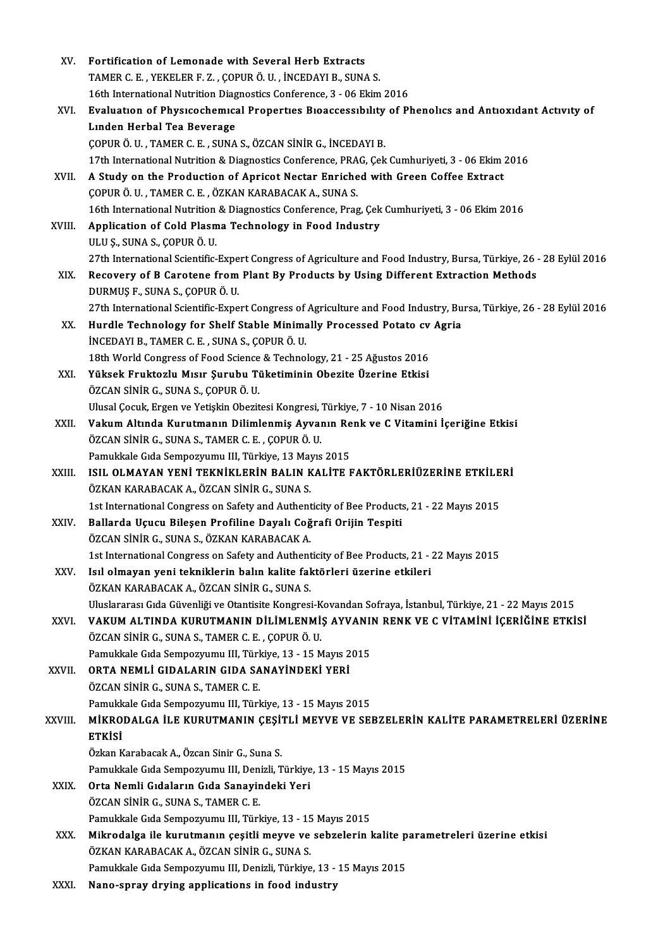| XV.     | Fortification of Lemonade with Several Herb Extracts                                                               |
|---------|--------------------------------------------------------------------------------------------------------------------|
|         | TAMER C. E., YEKELER F. Z., ÇOPUR Ö. U., İNCEDAYI B., SUNA S.                                                      |
|         | 16th International Nutrition Diagnostics Conference, 3 - 06 Ekim 2016                                              |
| XVI.    | Evaluation of Physicochemical Properties Bioaccessibility of Phenolics and Antioxidant Activity of                 |
|         | Linden Herbal Tea Beverage                                                                                         |
|         | ÇOPUR Ö. U., TAMER C. E., SUNA S., ÖZCAN SİNİR G., İNCEDAYI B.                                                     |
|         | 17th International Nutrition & Diagnostics Conference, PRAG, Çek Cumhuriyeti, 3 - 06 Ekim 2016                     |
| XVII.   | A Study on the Production of Apricot Nectar Enriched with Green Coffee Extract                                     |
|         | ÇOPUR Ö. U., TAMER C. E., ÖZKAN KARABACAK A., SUNA S.                                                              |
|         | 16th International Nutrition & Diagnostics Conference, Prag, Çek Cumhuriyeti, 3 - 06 Ekim 2016                     |
| XVIII.  | Application of Cold Plasma Technology in Food Industry                                                             |
|         | ULU Ș., SUNA S., ÇOPUR Ö. U.                                                                                       |
|         | 27th International Scientific-Expert Congress of Agriculture and Food Industry, Bursa, Türkiye, 26 - 28 Eylül 2016 |
| XIX.    | Recovery of B Carotene from Plant By Products by Using Different Extraction Methods                                |
|         | DURMUŞ F., SUNA S., ÇOPUR Ö. U.                                                                                    |
|         | 27th International Scientific-Expert Congress of Agriculture and Food Industry, Bursa, Türkiye, 26 - 28 Eylül 2016 |
| XX.     | Hurdle Technology for Shelf Stable Minimally Processed Potato cv Agria                                             |
|         | INCEDAYI B., TAMER C. E., SUNA S., ÇOPUR Ö. U.                                                                     |
|         | 18th World Congress of Food Science & Technology, 21 - 25 Ağustos 2016                                             |
| XXI.    | Yüksek Fruktozlu Mısır Şurubu Tüketiminin Obezite Üzerine Etkisi                                                   |
|         | ÖZCAN SİNİR G., SUNA S., ÇOPUR Ö. U.                                                                               |
|         | Ulusal Çocuk, Ergen ve Yetişkin Obezitesi Kongresi, Türkiye, 7 - 10 Nisan 2016                                     |
| XXII.   | Vakum Altında Kurutmanın Dilimlenmiş Ayvanın Renk ve C Vitamini İçeriğine Etkisi                                   |
|         | ÖZCAN SİNİR G., SUNA S., TAMER C. E., ÇOPUR Ö. U.                                                                  |
|         | Pamukkale Gıda Sempozyumu III, Türkiye, 13 Mayıs 2015                                                              |
| XXIII.  | ISIL OLMAYAN YENİ TEKNİKLERİN BALIN KALİTE FAKTÖRLERİÜZERİNE ETKİLERİ                                              |
|         | ÖZKAN KARABACAK A., ÖZCAN SİNİR G., SUNA S.                                                                        |
|         | 1st International Congress on Safety and Authenticity of Bee Products, 21 - 22 Mayıs 2015                          |
| XXIV.   | Ballarda Uçucu Bileşen Profiline Dayalı Coğrafi Orijin Tespiti                                                     |
|         | ÖZCAN SİNİR G., SUNA S., ÖZKAN KARABACAK A.                                                                        |
|         | 1st International Congress on Safety and Authenticity of Bee Products, 21 - 22 Mayıs 2015                          |
| XXV.    | Isıl olmayan yeni tekniklerin balın kalite faktörleri üzerine etkileri                                             |
|         | ÖZKAN KARABACAK A., ÖZCAN SİNİR G., SUNA S.                                                                        |
|         | Uluslararası Gıda Güvenliği ve Otantisite Kongresi-Kovandan Sofraya, İstanbul, Türkiye, 21 - 22 Mayıs 2015         |
| XXVI.   | VAKUM ALTINDA KURUTMANIN DİLİMLENMİŞ AYVANIN RENK VE C VİTAMİNİ İÇERİĞİNE ETKİSİ                                   |
|         | ÖZCAN SİNİR G., SUNA S., TAMER C. E., ÇOPUR Ö. U.                                                                  |
|         | Pamukkale Gıda Sempozyumu III, Türkiye, 13 - 15 Mayıs 2015<br>ORTA NEMLİ GIDALARIN GIDA SANAYİNDEKİ YERİ           |
| XXVII.  | ÖZCAN SİNİR G., SUNA S., TAMER C. E.                                                                               |
|         | Pamukkale Gıda Sempozyumu III, Türkiye, 13 - 15 Mayıs 2015                                                         |
| XXVIII. | MIKRODALGA İLE KURUTMANIN ÇEŞİTLI MEYVE VE SEBZELERİN KALİTE PARAMETRELERİ ÜZERİNE                                 |
|         | <b>ETKİSİ</b>                                                                                                      |
|         | Özkan Karabacak A., Özcan Sinir G., Suna S.                                                                        |
|         | Pamukkale Gıda Sempozyumu III, Denizli, Türkiye, 13 - 15 Mayıs 2015                                                |
| XXIX.   | Orta Nemli Gıdaların Gıda Sanayindeki Yeri                                                                         |
|         | ÖZCAN SİNİR G., SUNA S., TAMER C. E.                                                                               |
|         | Pamukkale Gıda Sempozyumu III, Türkiye, 13 - 15 Mayıs 2015                                                         |
| XXX.    | Mikrodalga ile kurutmanın çeşitli meyve ve sebzelerin kalite parametreleri üzerine etkisi                          |
|         | ÖZKAN KARABACAK A., ÖZCAN SİNİR G., SUNA S.                                                                        |
|         | Pamukkale Gıda Sempozyumu III, Denizli, Türkiye, 13 - 15 Mayıs 2015                                                |
| XXXI.   | Nano-spray drying applications in food industry                                                                    |
|         |                                                                                                                    |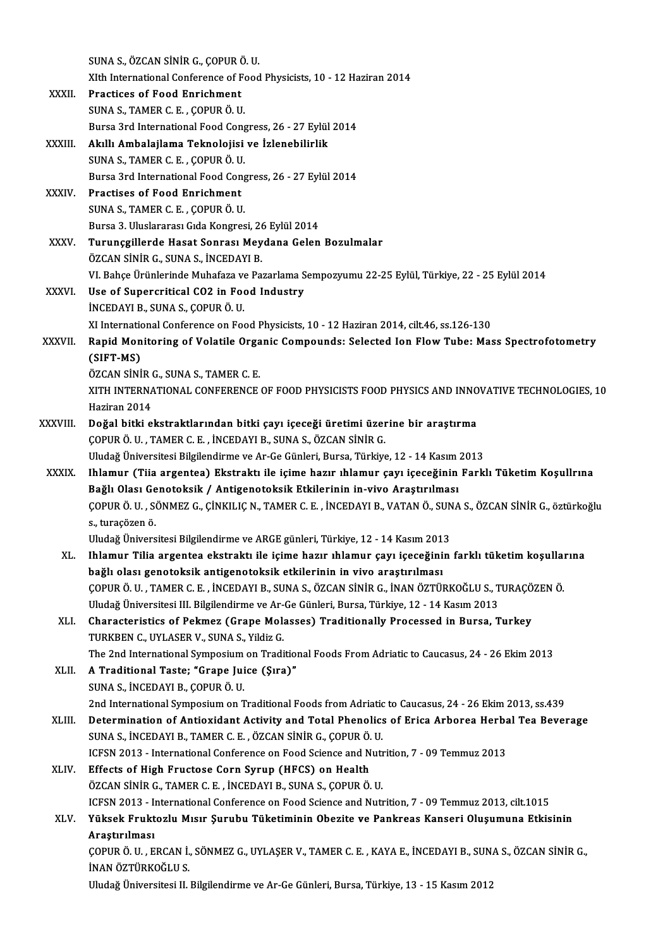|               | SUNA S., ÖZCAN SİNİR G., ÇOPUR Ö. U.                                                                                                                                                       |
|---------------|--------------------------------------------------------------------------------------------------------------------------------------------------------------------------------------------|
|               | XIth International Conference of Food Physicists, 10 - 12 Haziran 2014                                                                                                                     |
| XXXII.        | <b>Practices of Food Enrichment</b>                                                                                                                                                        |
|               | SUNA S., TAMER C. E., COPUR Ö. U.                                                                                                                                                          |
|               | Bursa 3rd International Food Congress, 26 - 27 Eylül 2014                                                                                                                                  |
| XXXIII.       | Akıllı Ambalajlama Teknolojisi ve İzlenebilirlik                                                                                                                                           |
|               | SUNA S., TAMER C. E., ÇOPUR Ö. U.                                                                                                                                                          |
|               | Bursa 3rd International Food Congress, 26 - 27 Eylül 2014                                                                                                                                  |
| <b>XXXIV</b>  | <b>Practises of Food Enrichment</b>                                                                                                                                                        |
|               | SUNA S., TAMER C. E., ÇOPUR Ö. U.                                                                                                                                                          |
|               | Bursa 3. Uluslararası Gıda Kongresi, 26 Eylül 2014                                                                                                                                         |
| <b>XXXV</b>   | Turunçgillerde Hasat Sonrası Meydana Gelen Bozulmalar                                                                                                                                      |
|               | ÖZCAN SİNİR G., SUNA S., İNCEDAYI B.                                                                                                                                                       |
|               | VI. Bahçe Ürünlerinde Muhafaza ve Pazarlama Sempozyumu 22-25 Eylül, Türkiye, 22 - 25 Eylül 2014                                                                                            |
| <b>XXXVI</b>  | Use of Supercritical CO2 in Food Industry                                                                                                                                                  |
|               | INCEDAYI B., SUNA S., COPUR Ö. U.                                                                                                                                                          |
| <b>XXXVII</b> | XI International Conference on Food Physicists, 10 - 12 Haziran 2014, cilt.46, ss.126-130<br>Rapid Monitoring of Volatile Organic Compounds: Selected Ion Flow Tube: Mass Spectrofotometry |
|               | (SIFT-MS)                                                                                                                                                                                  |
|               | ÖZCAN SİNİR G., SUNA S., TAMER C. E.                                                                                                                                                       |
|               | XITH INTERNATIONAL CONFERENCE OF FOOD PHYSICISTS FOOD PHYSICS AND INNOVATIVE TECHNOLOGIES, 10                                                                                              |
|               | Haziran 2014                                                                                                                                                                               |
| XXXVIII.      | Doğal bitki ekstraktlarından bitki çayı içeceği üretimi üzerine bir araştırma                                                                                                              |
|               | ÇOPUR Ö. U., TAMER C. E., İNCEDAYI B., SUNA S., ÖZCAN SİNİR G.                                                                                                                             |
|               | Uludağ Üniversitesi Bilgilendirme ve Ar-Ge Günleri, Bursa, Türkiye, 12 - 14 Kasım 2013                                                                                                     |
| <b>XXXIX</b>  | Ihlamur (Tiia argentea) Ekstraktı ile içime hazır ıhlamur çayı içeceğinin Farklı Tüketim Koşullrına                                                                                        |
|               | Bağlı Olası Genotoksik / Antigenotoksik Etkilerinin in-vivo Araştırılması                                                                                                                  |
|               | ÇOPUR Ö. U. , SÖNMEZ G., ÇİNKILIÇ N., TAMER C. E. , İNCEDAYI B., VATAN Ö., SUNA S., ÖZCAN SİNİR G., öztürkoğlu                                                                             |
|               | s. turacözen ö.                                                                                                                                                                            |
|               | Uludağ Üniversitesi Bilgilendirme ve ARGE günleri, Türkiye, 12 - 14 Kasım 2013                                                                                                             |
| XL.           | Ihlamur Tilia argentea ekstraktı ile içime hazır ıhlamur çayı içeceğinin farklı tüketim koşullarına                                                                                        |
|               | bağlı olası genotoksik antigenotoksik etkilerinin in vivo araştırılması<br>ÇOPUR Ö. U., TAMER C. E., İNCEDAYI B., SUNA S., ÖZCAN SİNİR G., İNAN ÖZTÜRKOĞLU S., TURAÇÖZEN Ö.                |
|               | Uludağ Üniversitesi III. Bilgilendirme ve Ar-Ge Günleri, Bursa, Türkiye, 12 - 14 Kasım 2013                                                                                                |
| XLI.          | Characteristics of Pekmez (Grape Molasses) Traditionally Processed in Bursa, Turkey                                                                                                        |
|               | TURKBEN C., UYLASER V., SUNA S., Yildiz G.                                                                                                                                                 |
|               | The 2nd International Symposium on Traditional Foods From Adriatic to Caucasus, 24 - 26 Ekim 2013                                                                                          |
| XLII.         | A Traditional Taste; "Grape Juice (Şıra)"                                                                                                                                                  |
|               | SUNA S., İNCEDAYI B., ÇOPUR Ö. U.                                                                                                                                                          |
|               | 2nd International Symposium on Traditional Foods from Adriatic to Caucasus, 24 - 26 Ekim 2013, ss.439                                                                                      |
| XLIII.        | Determination of Antioxidant Activity and Total Phenolics of Erica Arborea Herbal Tea Beverage                                                                                             |
|               | SUNA S., İNCEDAYI B., TAMER C. E., ÖZCAN SİNİR G., ÇOPUR Ö. U.                                                                                                                             |
|               | ICFSN 2013 - International Conference on Food Science and Nutrition, 7 - 09 Temmuz 2013                                                                                                    |
| XLIV.         | Effects of High Fructose Corn Syrup (HFCS) on Health                                                                                                                                       |
|               | ÖZCAN SİNİR G., TAMER C. E., İNCEDAYI B., SUNA S., ÇOPUR Ö. U.                                                                                                                             |
|               | ICFSN 2013 - International Conference on Food Science and Nutrition, 7 - 09 Temmuz 2013, cilt.1015                                                                                         |
| XLV.          | Yüksek Fruktozlu Mısır Şurubu Tüketiminin Obezite ve Pankreas Kanseri Oluşumuna Etkisinin                                                                                                  |
|               | Araştırılması<br>COPUR Ö. U., ERCAN İ., SÖNMEZ G., UYLAŞER V., TAMER C. E., KAYA E., İNCEDAYI B., SUNA S., ÖZCAN SİNİR G.,                                                                 |
|               | <b>İNAN ÖZTÜRKOĞLU S.</b>                                                                                                                                                                  |
|               | Uludağ Üniversitesi II. Bilgilendirme ve Ar-Ge Günleri, Bursa, Türkiye, 13 - 15 Kasım 2012                                                                                                 |
|               |                                                                                                                                                                                            |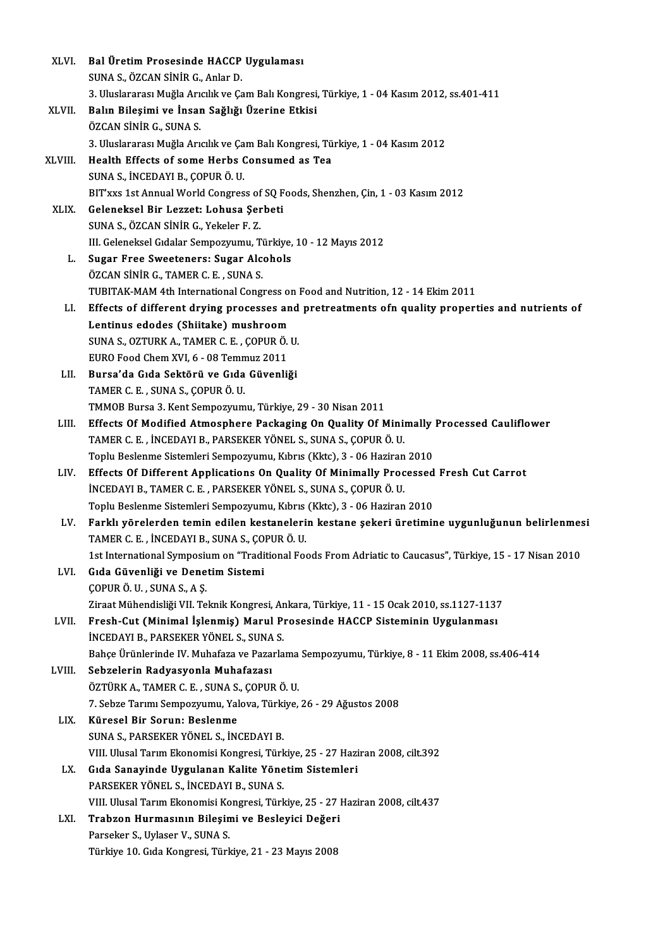| XLVI.       | Bal Üretim Prosesinde HACCP Uygulaması                                                                                                                      |
|-------------|-------------------------------------------------------------------------------------------------------------------------------------------------------------|
|             | SUNA S., ÖZCAN SİNİR G., Anlar D.                                                                                                                           |
|             | 3. Uluslararası Muğla Arıcılık ve Çam Balı Kongresi, Türkiye, 1 - 04 Kasım 2012, ss.401-411                                                                 |
| XLVII.      | Balın Bileşimi ve İnsan Sağlığı Üzerine Etkisi                                                                                                              |
|             | ÖZCAN SİNİR G., SUNA S.                                                                                                                                     |
|             | 3. Uluslararası Muğla Arıcılık ve Çam Balı Kongresi, Türkiye, 1 - 04 Kasım 2012                                                                             |
| XLVIII.     | Health Effects of some Herbs Consumed as Tea                                                                                                                |
|             | SUNA S., İNCEDAYI B., ÇOPUR Ö. U.                                                                                                                           |
|             | BIT'xxs 1st Annual World Congress of SQ Foods, Shenzhen, Çin, 1 - 03 Kasım 2012                                                                             |
| <b>XLIX</b> | Geleneksel Bir Lezzet: Lohusa Şerbeti                                                                                                                       |
|             | SUNA S., ÖZCAN SİNİR G., Yekeler F.Z.                                                                                                                       |
|             | III. Geleneksel Gıdalar Sempozyumu, Türkiye, 10 - 12 Mayıs 2012                                                                                             |
| L.          | Sugar Free Sweeteners: Sugar Alcohols                                                                                                                       |
|             | ÖZCAN SİNİR G., TAMER C. E., SUNA S.                                                                                                                        |
|             | TUBITAK-MAM 4th International Congress on Food and Nutrition, 12 - 14 Ekim 2011                                                                             |
| LI.         | Effects of different drying processes and pretreatments ofn quality properties and nutrients of                                                             |
|             | Lentinus edodes (Shiitake) mushroom                                                                                                                         |
|             | SUNA S., OZTURK A., TAMER C. E., COPUR Ö. U.                                                                                                                |
|             | EURO Food Chem XVI, 6 - 08 Temmuz 2011                                                                                                                      |
| LII.        | Bursa'da Gıda Sektörü ve Gıda Güvenliği                                                                                                                     |
|             | TAMER C. E., SUNA S., COPUR Ö. U.                                                                                                                           |
|             | TMMOB Bursa 3. Kent Sempozyumu, Türkiye, 29 - 30 Nisan 2011                                                                                                 |
| LIII.       | Effects Of Modified Atmosphere Packaging On Quality Of Minimally Processed Cauliflower<br>TAMER C. E., İNCEDAYI B., PARSEKER YÖNEL S., SUNA S., ÇOPUR Ö. U. |
|             | Toplu Beslenme Sistemleri Sempozyumu, Kıbrıs (Kktc), 3 - 06 Haziran 2010                                                                                    |
| LIV.        | Effects Of Different Applications On Quality Of Minimally Processed Fresh Cut Carrot                                                                        |
|             | İNCEDAYI B., TAMER C. E., PARSEKER YÖNEL S., SUNA S., COPUR Ö. U.                                                                                           |
|             | Toplu Beslenme Sistemleri Sempozyumu, Kıbrıs (Kktc), 3 - 06 Haziran 2010                                                                                    |
| LV.         | Farklı yörelerden temin edilen kestanelerin kestane şekeri üretimine uygunluğunun belirlenmesi                                                              |
|             | TAMER C. E., İNCEDAYI B., SUNA S., ÇOPUR Ö. U.                                                                                                              |
|             | 1st International Symposium on "Traditional Foods From Adriatic to Caucasus", Türkiye, 15 - 17 Nisan 2010                                                   |
| LVI.        | Gıda Güvenliği ve Denetim Sistemi                                                                                                                           |
|             | ÇOPUR Ö. U., SUNA S., A Ş.                                                                                                                                  |
|             | Ziraat Mühendisliği VII. Teknik Kongresi, Ankara, Türkiye, 11 - 15 Ocak 2010, ss.1127-1137                                                                  |
| LVII.       | Fresh-Cut (Minimal İşlenmiş) Marul Prosesinde HACCP Sisteminin Uygulanması                                                                                  |
|             | İNCEDAYI B., PARSEKER YÖNEL S., SUNA S.                                                                                                                     |
|             | Bahçe Ürünlerinde IV. Muhafaza ve Pazarlama Sempozyumu, Türkiye, 8 - 11 Ekim 2008, ss.406-414                                                               |
| LVIII.      | Sebzelerin Radyasyonla Muhafazası                                                                                                                           |
|             | ÖZTÜRK A., TAMER C. E., SUNA S., ÇOPUR Ö. U.                                                                                                                |
|             | 7. Sebze Tarımı Sempozyumu, Yalova, Türkiye, 26 - 29 Ağustos 2008                                                                                           |
| LIX.        | Küresel Bir Sorun: Beslenme                                                                                                                                 |
|             | SUNA S., PARSEKER YÖNEL S., İNCEDAYI B.                                                                                                                     |
|             | VIII. Ulusal Tarım Ekonomisi Kongresi, Türkiye, 25 - 27 Haziran 2008, cilt.392                                                                              |
| LX.         | Gıda Sanayinde Uygulanan Kalite Yönetim Sistemleri                                                                                                          |
|             | PARSEKER YÖNEL S., İNCEDAYI B., SUNA S.                                                                                                                     |
|             | VIII. Ulusal Tarım Ekonomisi Kongresi, Türkiye, 25 - 27 Haziran 2008, cilt.437                                                                              |
| LXI.        | Trabzon Hurmasının Bileşimi ve Besleyici Değeri                                                                                                             |
|             | Parseker S., Uylaser V., SUNA S.                                                                                                                            |
|             | Türkiye 10. Gıda Kongresi, Türkiye, 21 - 23 Mayıs 2008                                                                                                      |